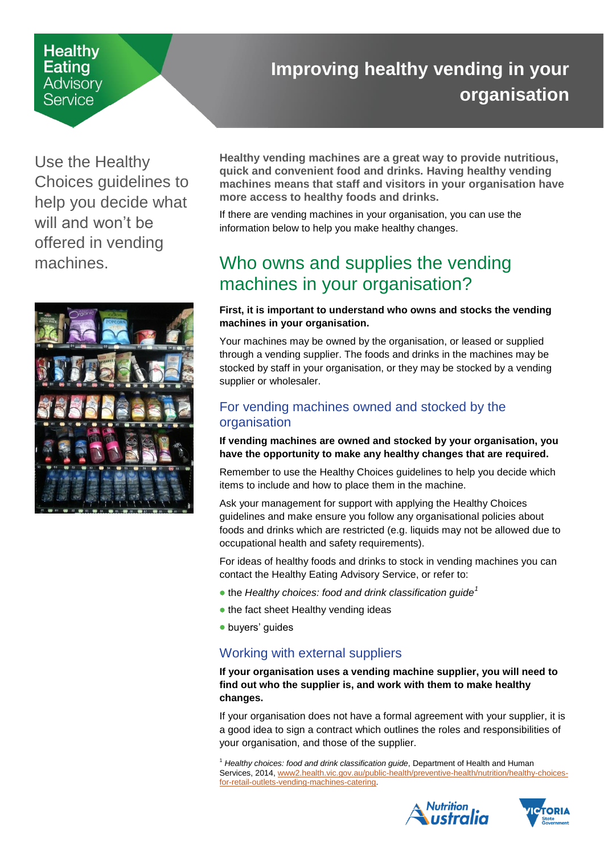### **Healthy** Eating Advisory Service

# <span id="page-0-0"></span>**Improving healthy vending in your organisation**

Use the Healthy Choices guidelines to help you decide what will and won't be offered in vending machines.



**Healthy vending machines are a great way to provide nutritious, quick and convenient food and drinks. Having healthy vending machines means that staff and visitors in your organisation have more access to healthy foods and drinks.**

If there are vending machines in your organisation, you can use the information below to help you make healthy changes.

## Who owns and supplies the vending machines in your organisation?

#### **First, it is important to understand who owns and stocks the vending machines in your organisation.**

Your machines may be owned by the organisation, or leased or supplied through a vending supplier. The foods and drinks in the machines may be stocked by staff in your organisation, or they may be stocked by a vending supplier or wholesaler.

### For vending machines owned and stocked by the organisation

**If vending machines are owned and stocked by your organisation, you have the opportunity to make any healthy changes that are required.**

Remember to use the Healthy Choices guidelines to help you decide which items to include and how to place them in the machine.

Ask your management for support with applying the Healthy Choices guidelines and make ensure you follow any organisational policies about foods and drinks which are restricted (e.g. liquids may not be allowed due to occupational health and safety requirements).

For ideas of healthy foods and drinks to stock in vending machines you can contact the Healthy Eating Advisory Service, or refer to:

- the *Healthy choices: food and drink classification guide<sup>1</sup>*
- the fact sheet Healthy vending ideas
- buyers' guides

#### Working with external suppliers

**If your organisation uses a vending machine supplier, you will need to find out who the supplier is, and work with them to make healthy changes.** 

If your organisation does not have a formal agreement with your supplier, it is a good idea to sign a contract which outlines the roles and responsibilities of your organisation, and those of the supplier.

<sup>1</sup> *Healthy choices: food and drink classification guide*, Department of Health and Human Services, 2014[, www2.health.vic.gov.au/public-health/preventive-health/nutrition/healthy-choices](https://www2.health.vic.gov.au/public-health/preventive-health/nutrition/healthy-choices-for-retail-outlets-vending-machines-catering)[for-retail-outlets-vending-machines-catering.](https://www2.health.vic.gov.au/public-health/preventive-health/nutrition/healthy-choices-for-retail-outlets-vending-machines-catering)